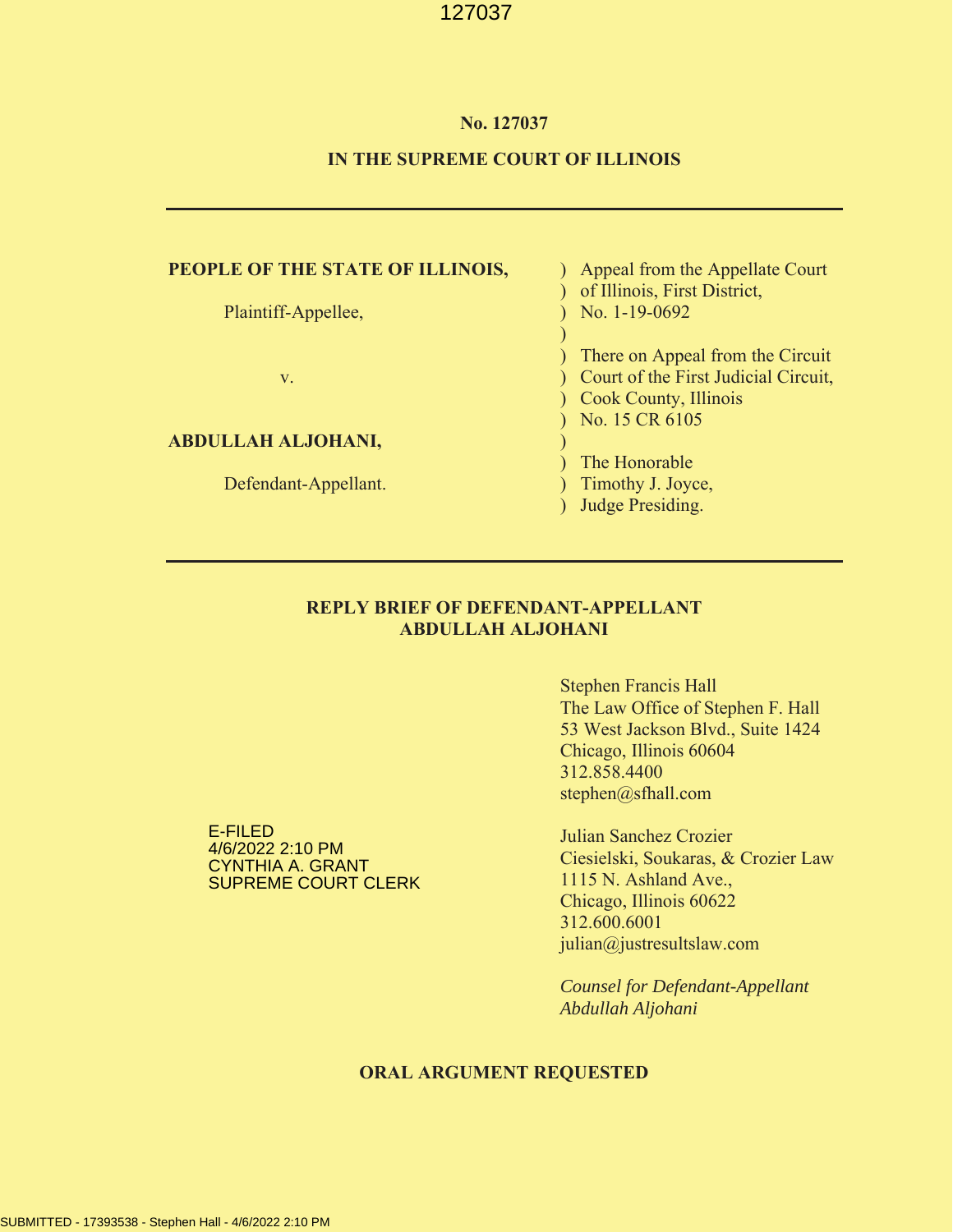#### **No. 127037**

#### **IN THE SUPREME COURT OF ILLINOIS**

## **PEOPLE OF THE STATE OF ILLINOIS, Suppeared from the Appellate Court**

#### **ABDULLAH ALJOHANI,** )

Defendant-Appellant. (a) (b) Timothy J. Joyce,

# ) of Illinois, First District, Plaintiff-Appellee, 1992 (No. 1-19-0692) ) ) There on Appeal from the Circuit v. ) Court of the First Judicial Circuit, ) Cook County, Illinois ) No. 15 CR 6105

- ) The Honorable
- 
- ) Judge Presiding.

#### **REPLY BRIEF OF DEFENDANT-APPELLANT ABDULLAH ALJOHANI**

Stephen Francis Hall The Law Office of Stephen F. Hall 53 West Jackson Blvd., Suite 1424 Chicago, Illinois 60604 312.858.4400 stephen@sfhall.com

E-FILED 4/6/2022 2:10 PM CYNTHIA A. GRANT SUPREME COURT CLERK

Julian Sanchez Crozier Ciesielski, Soukaras, & Crozier Law 1115 N. Ashland Ave., Chicago, Illinois 60622 312.600.6001 julian@justresultslaw.com

*Counsel for Defendant-Appellant Abdullah Aljohani*

#### **ORAL ARGUMENT REQUESTED**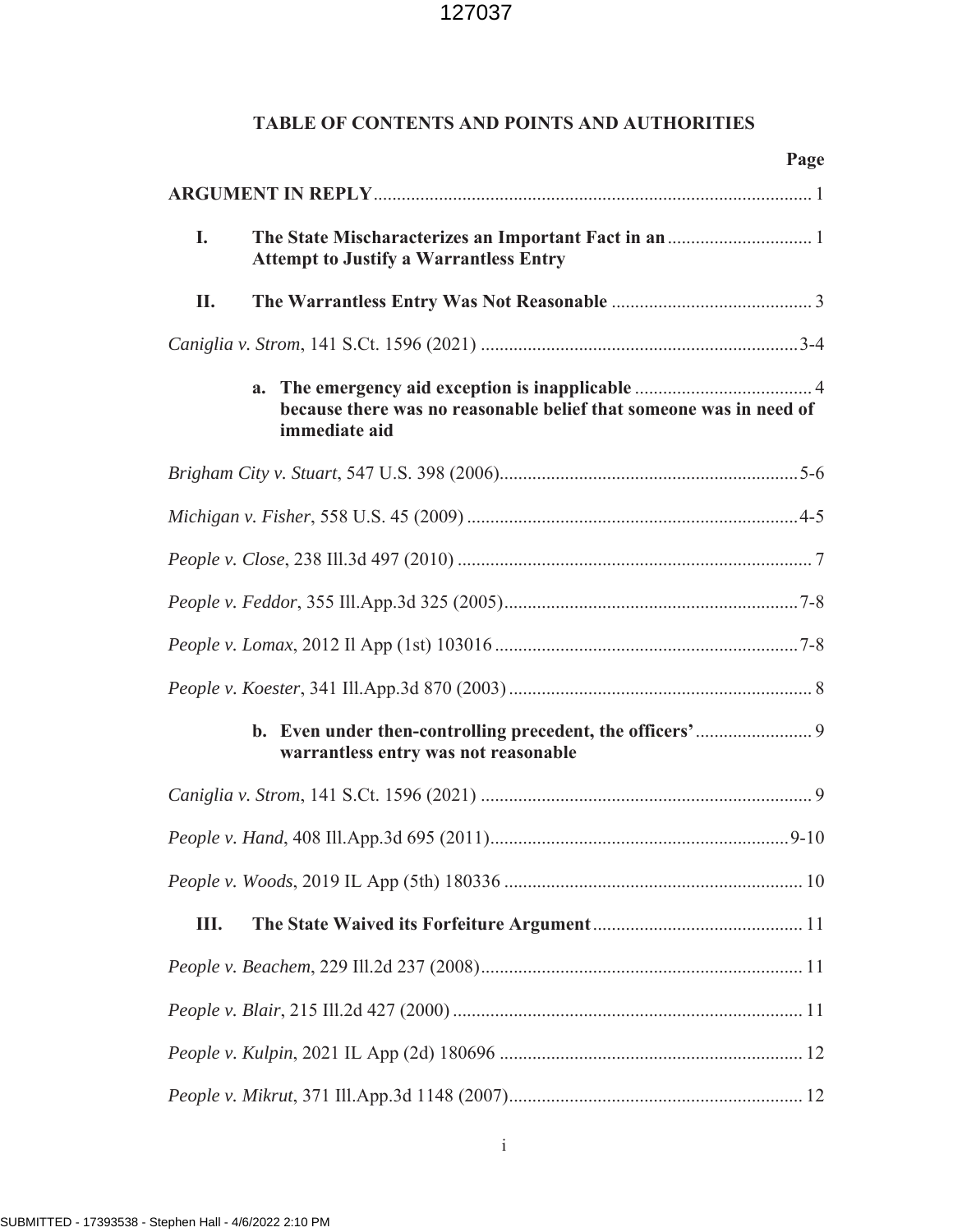# **TABLE OF CONTENTS AND POINTS AND AUTHORITIES**

|                                      | Page                                                                                      |  |
|--------------------------------------|-------------------------------------------------------------------------------------------|--|
|                                      |                                                                                           |  |
| I.                                   | <b>Attempt to Justify a Warrantless Entry</b>                                             |  |
| П.                                   |                                                                                           |  |
|                                      |                                                                                           |  |
|                                      | a.<br>because there was no reasonable belief that someone was in need of<br>immediate aid |  |
|                                      |                                                                                           |  |
|                                      |                                                                                           |  |
|                                      |                                                                                           |  |
|                                      |                                                                                           |  |
|                                      |                                                                                           |  |
|                                      |                                                                                           |  |
| warrantless entry was not reasonable |                                                                                           |  |
|                                      |                                                                                           |  |
|                                      |                                                                                           |  |
|                                      |                                                                                           |  |
| Ш.                                   |                                                                                           |  |
|                                      |                                                                                           |  |
|                                      |                                                                                           |  |
|                                      |                                                                                           |  |
|                                      |                                                                                           |  |

i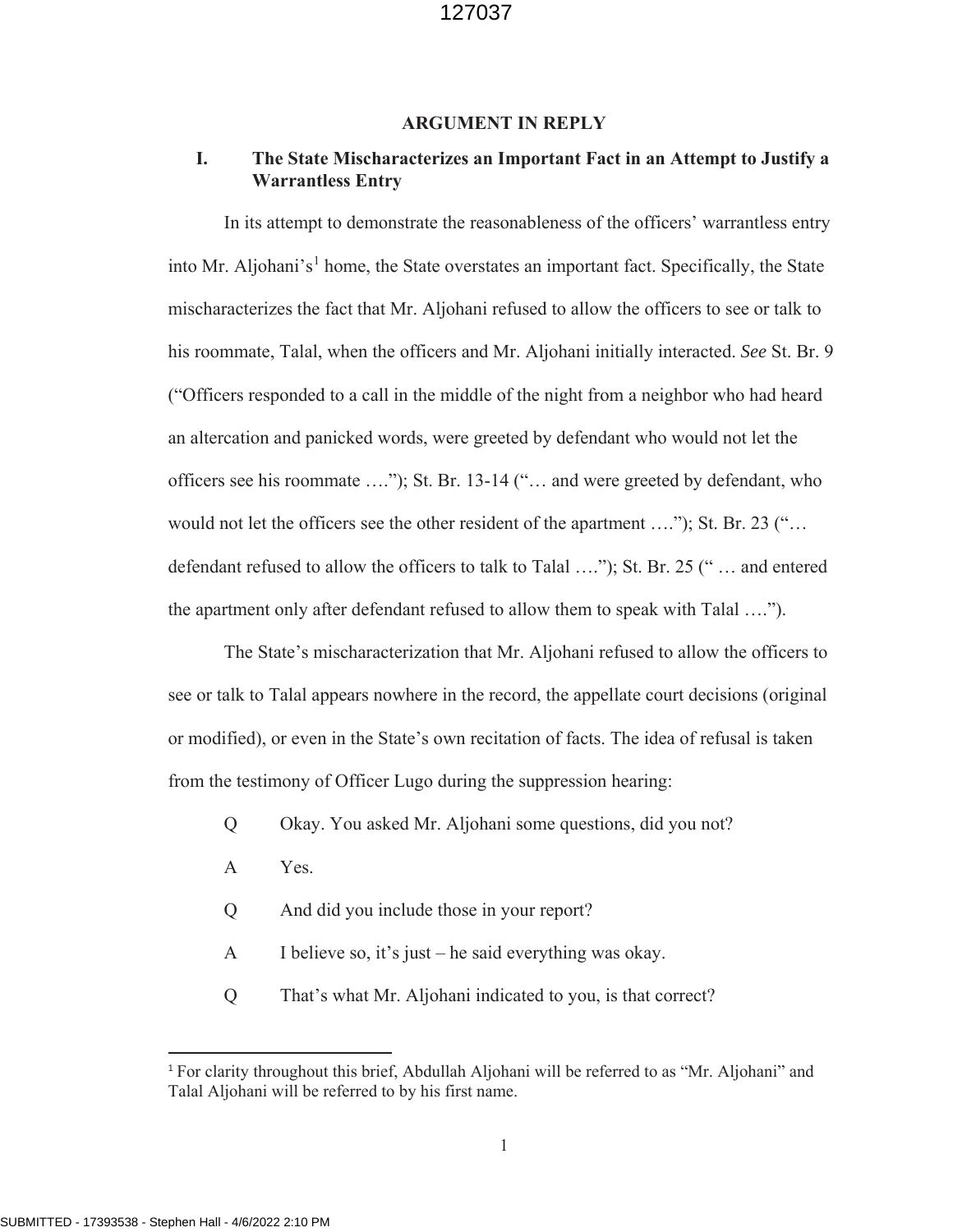#### **ARGUMENT IN REPLY**

# **I. The State Mischaracterizes an Important Fact in an Attempt to Justify a Warrantless Entry**

In its attempt to demonstrate the reasonableness of the officers' warrantless entry into Mr. Aljohani's<sup>1</sup> home, the State overstates an important fact. Specifically, the State mischaracterizes the fact that Mr. Aljohani refused to allow the officers to see or talk to his roommate, Talal, when the officers and Mr. Aljohani initially interacted. *See* St. Br. 9 ("Officers responded to a call in the middle of the night from a neighbor who had heard an altercation and panicked words, were greeted by defendant who would not let the officers see his roommate …."); St. Br. 13-14 ("… and were greeted by defendant, who would not let the officers see the other resident of the apartment ...."); St. Br. 23 ("... defendant refused to allow the officers to talk to Talal …."); St. Br. 25 (" … and entered the apartment only after defendant refused to allow them to speak with Talal ….").

The State's mischaracterization that Mr. Aljohani refused to allow the officers to see or talk to Talal appears nowhere in the record, the appellate court decisions (original or modified), or even in the State's own recitation of facts. The idea of refusal is taken from the testimony of Officer Lugo during the suppression hearing:

- Q Okay. You asked Mr. Aljohani some questions, did you not?
- A Yes.
- Q And did you include those in your report?
- A I believe so, it's just he said everything was okay.
- Q That's what Mr. Aljohani indicated to you, is that correct?

 $\overline{a}$ 

<sup>1</sup> For clarity throughout this brief, Abdullah Aljohani will be referred to as "Mr. Aljohani" and Talal Aljohani will be referred to by his first name.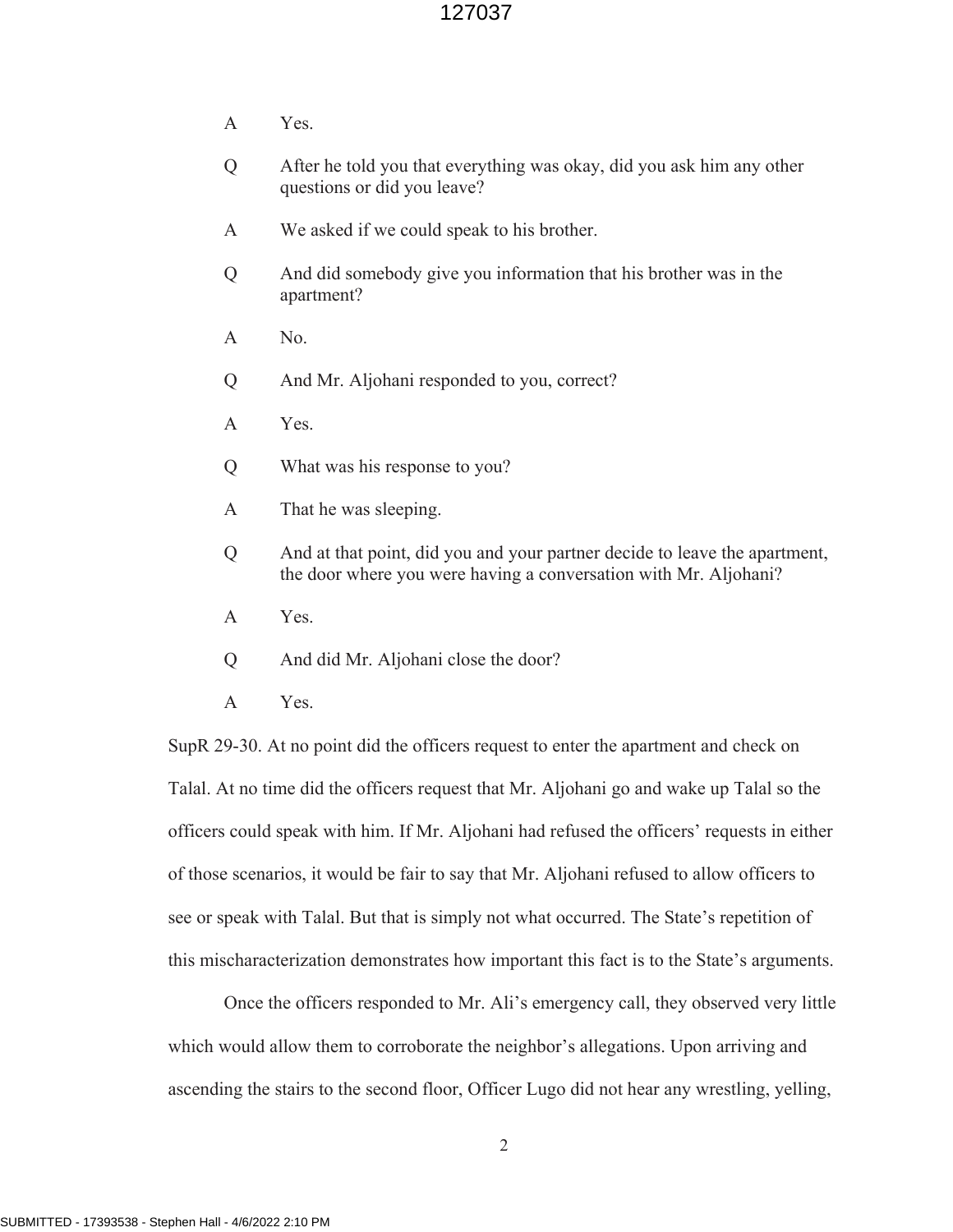- A Yes.
- Q After he told you that everything was okay, did you ask him any other questions or did you leave?
- A We asked if we could speak to his brother.
- Q And did somebody give you information that his brother was in the apartment?
- A No.
- Q And Mr. Aljohani responded to you, correct?
- A Yes.
- Q What was his response to you?
- A That he was sleeping.
- Q And at that point, did you and your partner decide to leave the apartment, the door where you were having a conversation with Mr. Aljohani?
- A Yes.
- Q And did Mr. Aljohani close the door?
- A Yes.

SupR 29-30. At no point did the officers request to enter the apartment and check on Talal. At no time did the officers request that Mr. Aljohani go and wake up Talal so the officers could speak with him. If Mr. Aljohani had refused the officers' requests in either of those scenarios, it would be fair to say that Mr. Aljohani refused to allow officers to see or speak with Talal. But that is simply not what occurred. The State's repetition of this mischaracterization demonstrates how important this fact is to the State's arguments.

Once the officers responded to Mr. Ali's emergency call, they observed very little which would allow them to corroborate the neighbor's allegations. Upon arriving and ascending the stairs to the second floor, Officer Lugo did not hear any wrestling, yelling,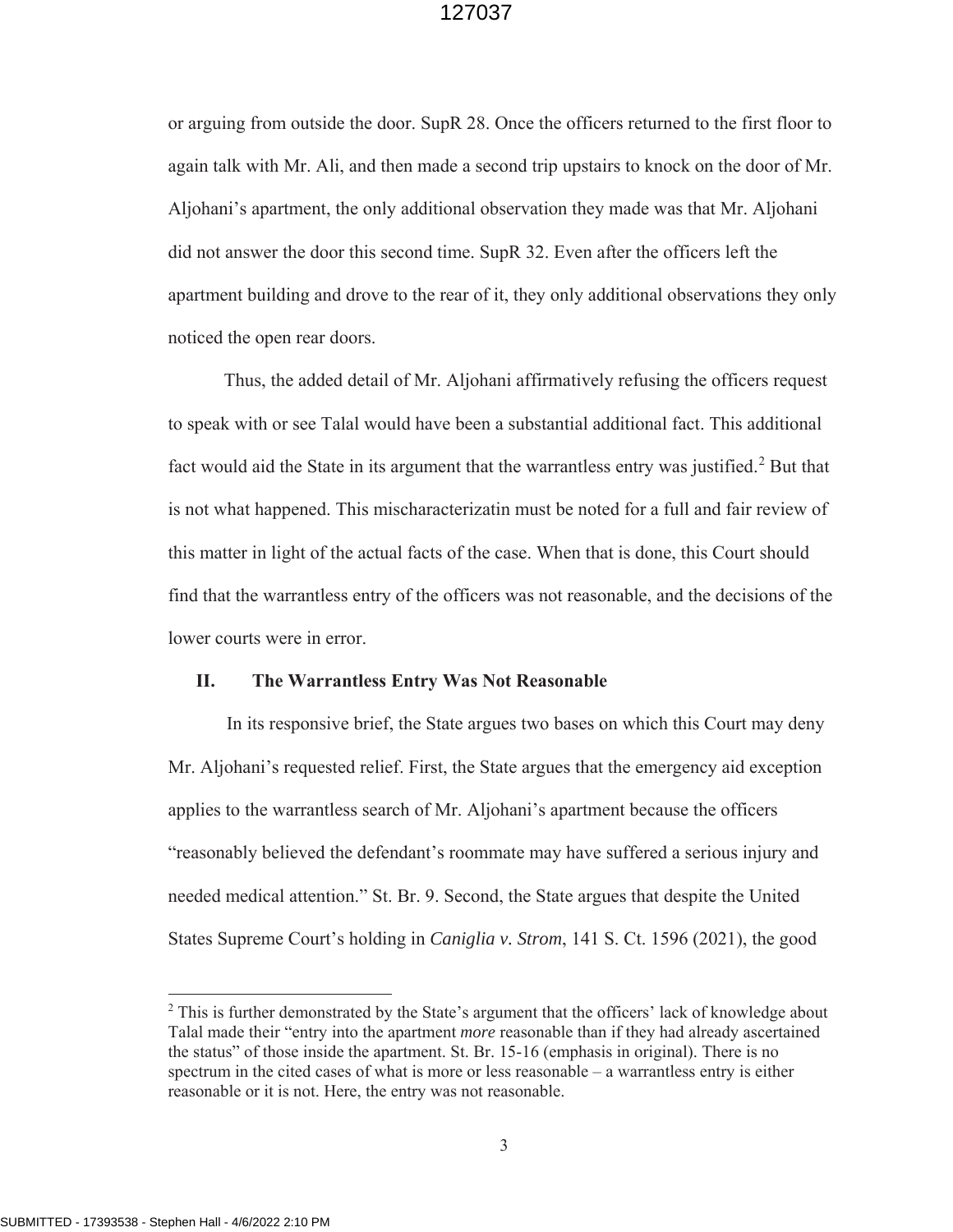or arguing from outside the door. SupR 28. Once the officers returned to the first floor to again talk with Mr. Ali, and then made a second trip upstairs to knock on the door of Mr. Aljohani's apartment, the only additional observation they made was that Mr. Aljohani did not answer the door this second time. SupR 32. Even after the officers left the apartment building and drove to the rear of it, they only additional observations they only noticed the open rear doors.

Thus, the added detail of Mr. Aljohani affirmatively refusing the officers request to speak with or see Talal would have been a substantial additional fact. This additional fact would aid the State in its argument that the warrantless entry was justified.<sup>2</sup> But that is not what happened. This mischaracterizatin must be noted for a full and fair review of this matter in light of the actual facts of the case. When that is done, this Court should find that the warrantless entry of the officers was not reasonable, and the decisions of the lower courts were in error.

#### **II. The Warrantless Entry Was Not Reasonable**

In its responsive brief, the State argues two bases on which this Court may deny Mr. Aljohani's requested relief. First, the State argues that the emergency aid exception applies to the warrantless search of Mr. Aljohani's apartment because the officers "reasonably believed the defendant's roommate may have suffered a serious injury and needed medical attention." St. Br. 9. Second, the State argues that despite the United States Supreme Court's holding in *Caniglia v. Strom*, 141 S. Ct. 1596 (2021), the good

 $\overline{a}$ 

<sup>&</sup>lt;sup>2</sup> This is further demonstrated by the State's argument that the officers' lack of knowledge about Talal made their "entry into the apartment *more* reasonable than if they had already ascertained the status" of those inside the apartment. St. Br. 15-16 (emphasis in original). There is no spectrum in the cited cases of what is more or less reasonable – a warrantless entry is either reasonable or it is not. Here, the entry was not reasonable.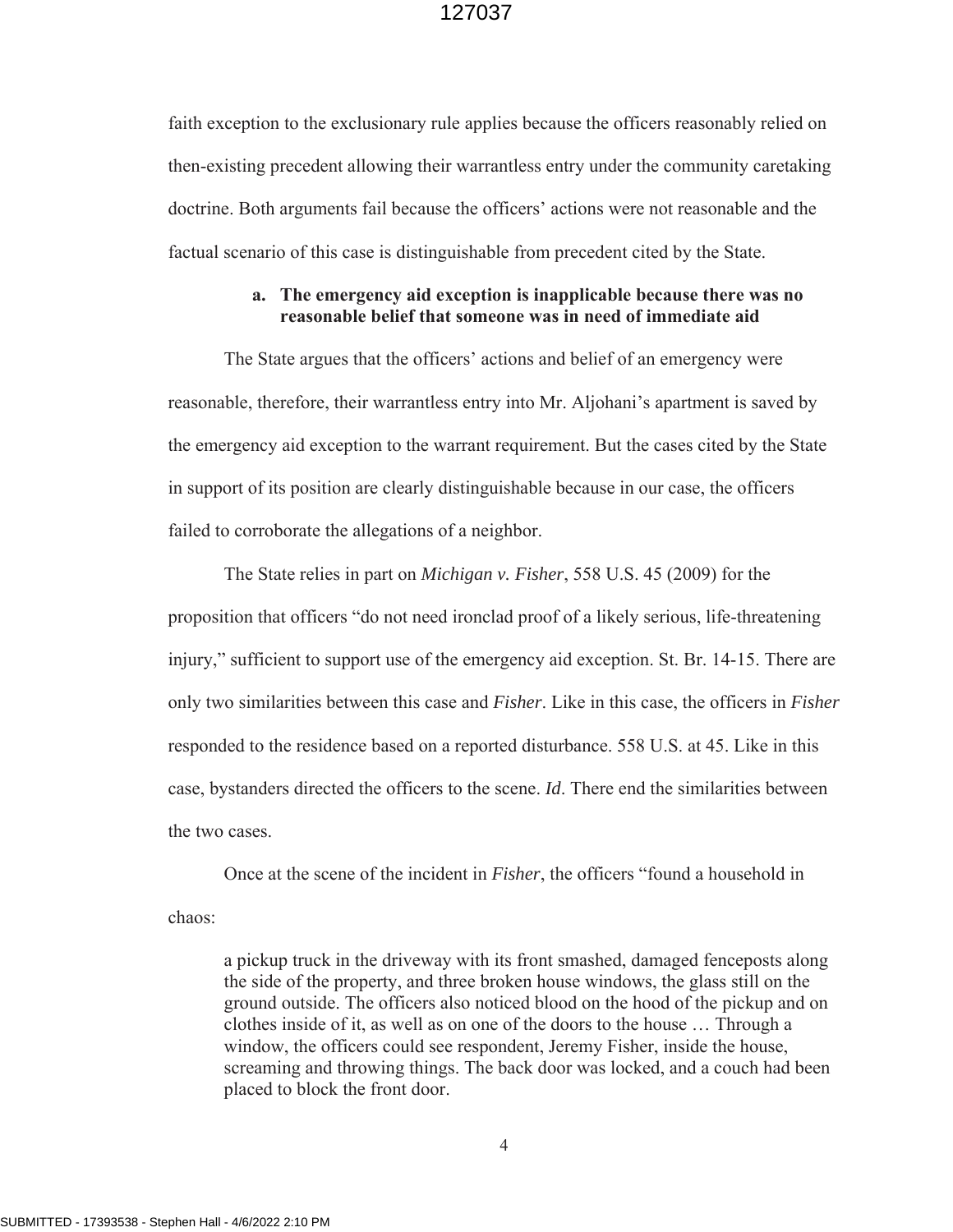faith exception to the exclusionary rule applies because the officers reasonably relied on then-existing precedent allowing their warrantless entry under the community caretaking doctrine. Both arguments fail because the officers' actions were not reasonable and the factual scenario of this case is distinguishable from precedent cited by the State.

#### **a. The emergency aid exception is inapplicable because there was no reasonable belief that someone was in need of immediate aid**

The State argues that the officers' actions and belief of an emergency were reasonable, therefore, their warrantless entry into Mr. Aljohani's apartment is saved by the emergency aid exception to the warrant requirement. But the cases cited by the State in support of its position are clearly distinguishable because in our case, the officers failed to corroborate the allegations of a neighbor.

The State relies in part on *Michigan v. Fisher*, 558 U.S. 45 (2009) for the proposition that officers "do not need ironclad proof of a likely serious, life-threatening injury," sufficient to support use of the emergency aid exception. St. Br. 14-15. There are only two similarities between this case and *Fisher*. Like in this case, the officers in *Fisher* responded to the residence based on a reported disturbance. 558 U.S. at 45. Like in this case, bystanders directed the officers to the scene. *Id*. There end the similarities between the two cases.

Once at the scene of the incident in *Fisher*, the officers "found a household in chaos:

a pickup truck in the driveway with its front smashed, damaged fenceposts along the side of the property, and three broken house windows, the glass still on the ground outside. The officers also noticed blood on the hood of the pickup and on clothes inside of it, as well as on one of the doors to the house … Through a window, the officers could see respondent, Jeremy Fisher, inside the house, screaming and throwing things. The back door was locked, and a couch had been placed to block the front door.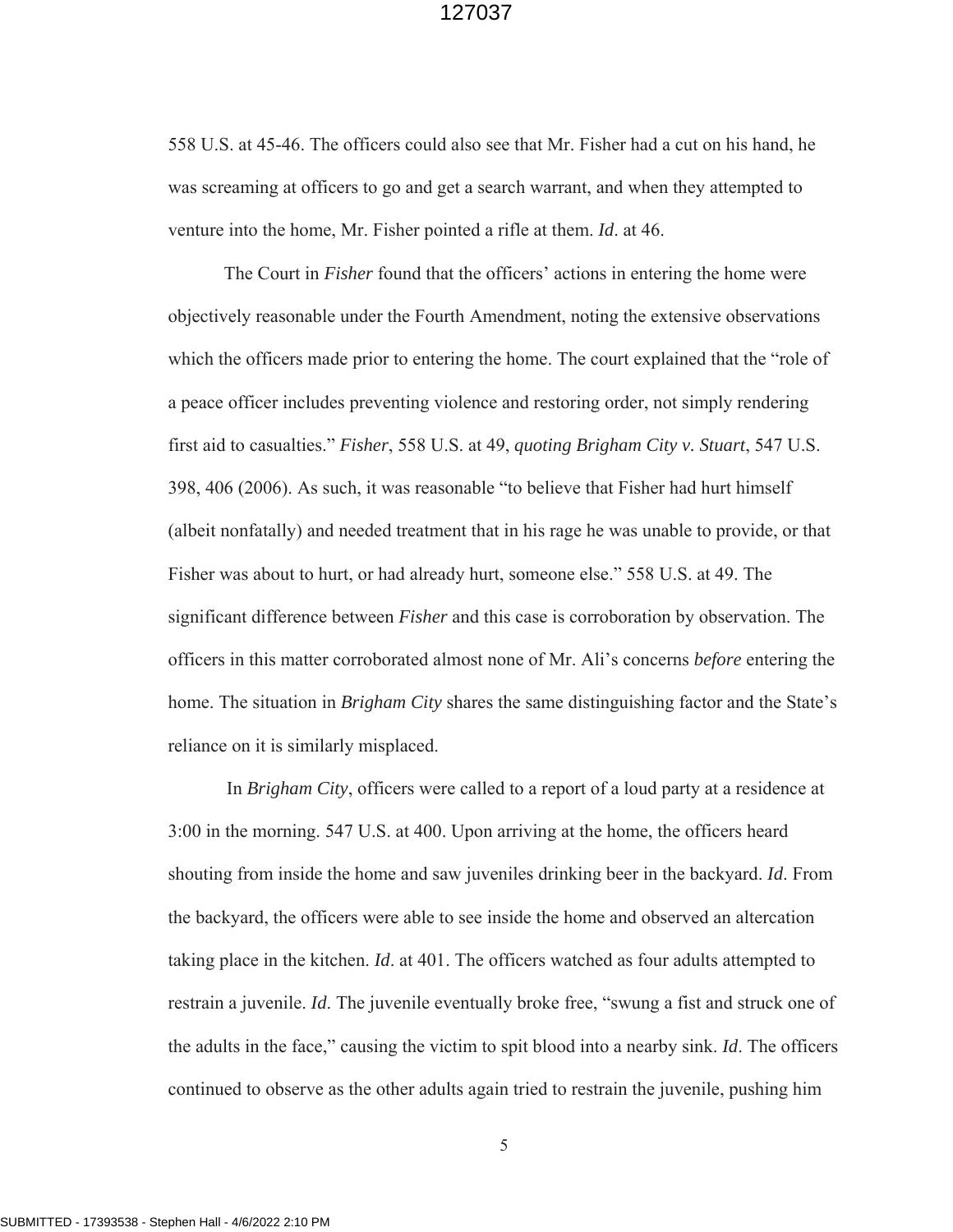558 U.S. at 45-46. The officers could also see that Mr. Fisher had a cut on his hand, he was screaming at officers to go and get a search warrant, and when they attempted to venture into the home, Mr. Fisher pointed a rifle at them. *Id*. at 46.

The Court in *Fisher* found that the officers' actions in entering the home were objectively reasonable under the Fourth Amendment, noting the extensive observations which the officers made prior to entering the home. The court explained that the "role of a peace officer includes preventing violence and restoring order, not simply rendering first aid to casualties." *Fisher*, 558 U.S. at 49, *quoting Brigham City v. Stuart*, 547 U.S. 398, 406 (2006). As such, it was reasonable "to believe that Fisher had hurt himself (albeit nonfatally) and needed treatment that in his rage he was unable to provide, or that Fisher was about to hurt, or had already hurt, someone else." 558 U.S. at 49. The significant difference between *Fisher* and this case is corroboration by observation. The officers in this matter corroborated almost none of Mr. Ali's concerns *before* entering the home. The situation in *Brigham City* shares the same distinguishing factor and the State's reliance on it is similarly misplaced.

In *Brigham City*, officers were called to a report of a loud party at a residence at 3:00 in the morning. 547 U.S. at 400. Upon arriving at the home, the officers heard shouting from inside the home and saw juveniles drinking beer in the backyard. *Id*. From the backyard, the officers were able to see inside the home and observed an altercation taking place in the kitchen. *Id*. at 401. The officers watched as four adults attempted to restrain a juvenile. *Id*. The juvenile eventually broke free, "swung a fist and struck one of the adults in the face," causing the victim to spit blood into a nearby sink. *Id*. The officers continued to observe as the other adults again tried to restrain the juvenile, pushing him

SUBMITTED - 17393538 - Stephen Hall - 4/6/2022 2:10 PM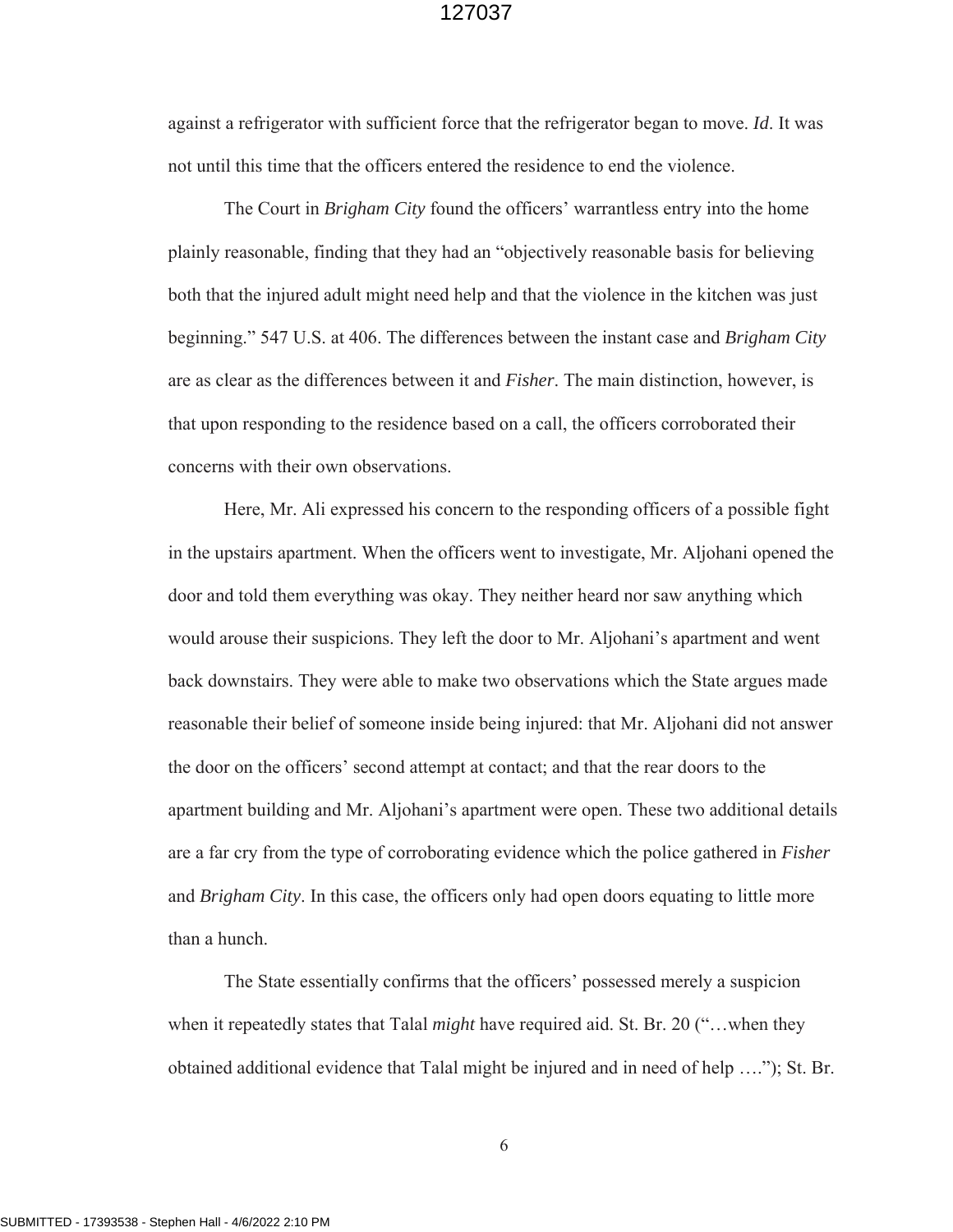against a refrigerator with sufficient force that the refrigerator began to move. *Id*. It was not until this time that the officers entered the residence to end the violence.

The Court in *Brigham City* found the officers' warrantless entry into the home plainly reasonable, finding that they had an "objectively reasonable basis for believing both that the injured adult might need help and that the violence in the kitchen was just beginning." 547 U.S. at 406. The differences between the instant case and *Brigham City* are as clear as the differences between it and *Fisher*. The main distinction, however, is that upon responding to the residence based on a call, the officers corroborated their concerns with their own observations.

Here, Mr. Ali expressed his concern to the responding officers of a possible fight in the upstairs apartment. When the officers went to investigate, Mr. Aljohani opened the door and told them everything was okay. They neither heard nor saw anything which would arouse their suspicions. They left the door to Mr. Aljohani's apartment and went back downstairs. They were able to make two observations which the State argues made reasonable their belief of someone inside being injured: that Mr. Aljohani did not answer the door on the officers' second attempt at contact; and that the rear doors to the apartment building and Mr. Aljohani's apartment were open. These two additional details are a far cry from the type of corroborating evidence which the police gathered in *Fisher* and *Brigham City*. In this case, the officers only had open doors equating to little more than a hunch.

The State essentially confirms that the officers' possessed merely a suspicion when it repeatedly states that Talal *might* have required aid. St. Br. 20 ("…when they obtained additional evidence that Talal might be injured and in need of help …."); St. Br.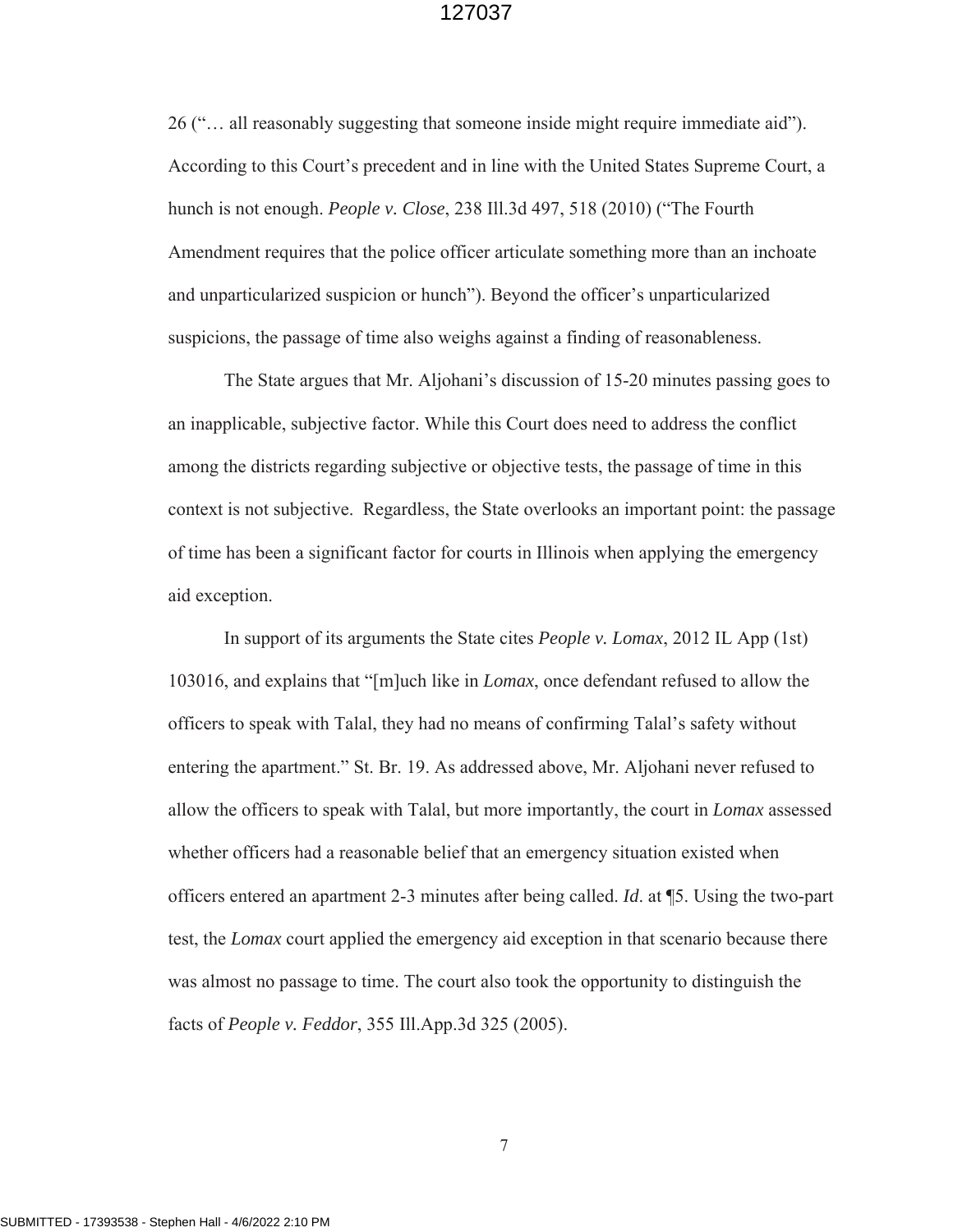26 ("… all reasonably suggesting that someone inside might require immediate aid"). According to this Court's precedent and in line with the United States Supreme Court, a hunch is not enough. *People v. Close*, 238 Ill.3d 497, 518 (2010) ("The Fourth Amendment requires that the police officer articulate something more than an inchoate and unparticularized suspicion or hunch"). Beyond the officer's unparticularized suspicions, the passage of time also weighs against a finding of reasonableness.

The State argues that Mr. Aljohani's discussion of 15-20 minutes passing goes to an inapplicable, subjective factor. While this Court does need to address the conflict among the districts regarding subjective or objective tests, the passage of time in this context is not subjective. Regardless, the State overlooks an important point: the passage of time has been a significant factor for courts in Illinois when applying the emergency aid exception.

In support of its arguments the State cites *People v. Lomax*, 2012 IL App (1st) 103016, and explains that "[m]uch like in *Lomax*, once defendant refused to allow the officers to speak with Talal, they had no means of confirming Talal's safety without entering the apartment." St. Br. 19. As addressed above, Mr. Aljohani never refused to allow the officers to speak with Talal, but more importantly, the court in *Lomax* assessed whether officers had a reasonable belief that an emergency situation existed when officers entered an apartment 2-3 minutes after being called. *Id*. at ¶5. Using the two-part test, the *Lomax* court applied the emergency aid exception in that scenario because there was almost no passage to time. The court also took the opportunity to distinguish the facts of *People v. Feddor*, 355 Ill.App.3d 325 (2005).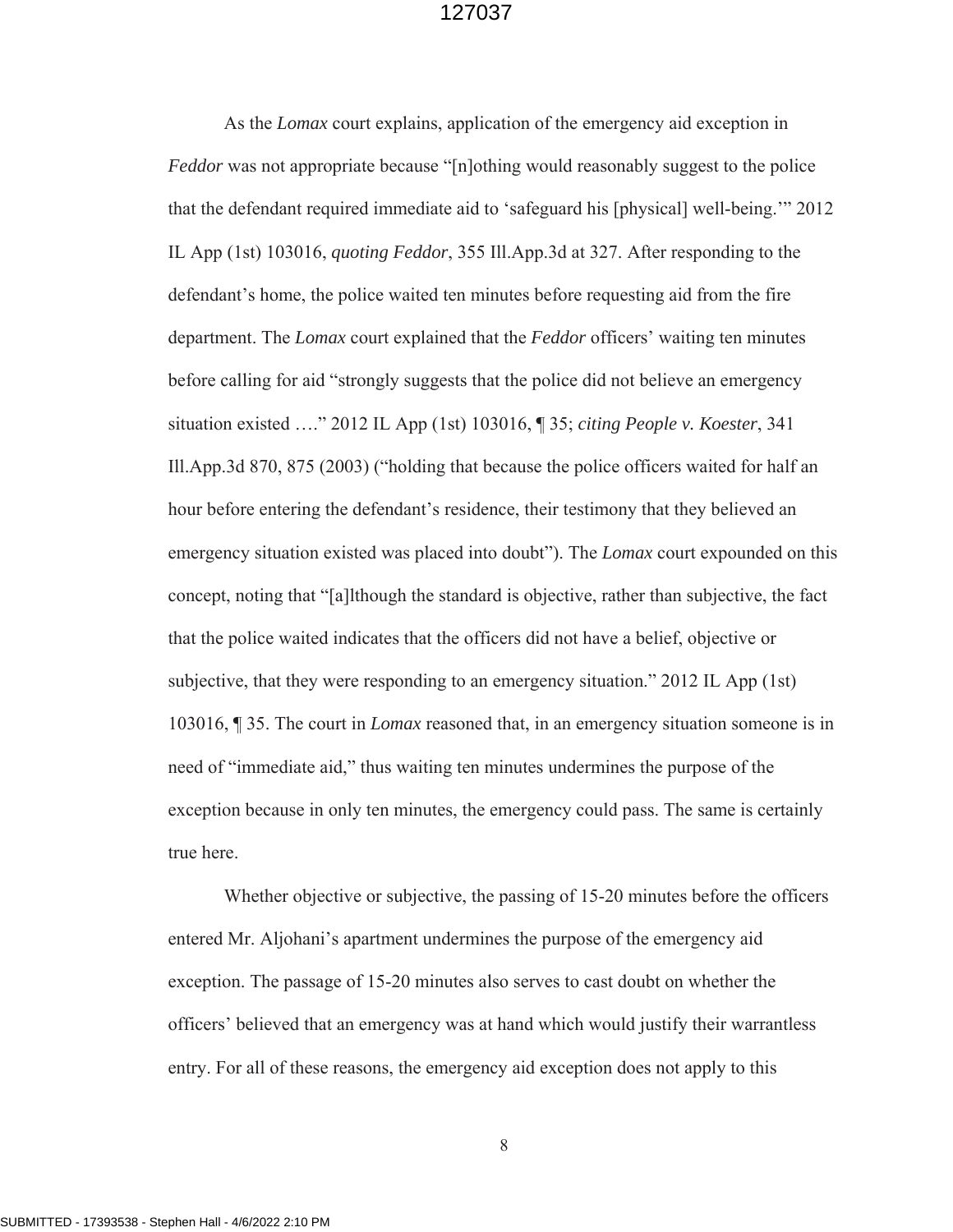As the *Lomax* court explains, application of the emergency aid exception in *Feddor* was not appropriate because "[n]othing would reasonably suggest to the police that the defendant required immediate aid to 'safeguard his [physical] well-being.'" 2012 IL App (1st) 103016, *quoting Feddor*, 355 Ill.App.3d at 327. After responding to the defendant's home, the police waited ten minutes before requesting aid from the fire department. The *Lomax* court explained that the *Feddor* officers' waiting ten minutes before calling for aid "strongly suggests that the police did not believe an emergency situation existed …." 2012 IL App (1st) 103016, ¶ 35; *citing People v. Koester*, 341 Ill.App.3d 870, 875 (2003) ("holding that because the police officers waited for half an hour before entering the defendant's residence, their testimony that they believed an emergency situation existed was placed into doubt"). The *Lomax* court expounded on this concept, noting that "[a]lthough the standard is objective, rather than subjective, the fact that the police waited indicates that the officers did not have a belief, objective or subjective, that they were responding to an emergency situation." 2012 IL App (1st) 103016, ¶ 35. The court in *Lomax* reasoned that, in an emergency situation someone is in need of "immediate aid," thus waiting ten minutes undermines the purpose of the exception because in only ten minutes, the emergency could pass. The same is certainly true here.

Whether objective or subjective, the passing of 15-20 minutes before the officers entered Mr. Aljohani's apartment undermines the purpose of the emergency aid exception. The passage of 15-20 minutes also serves to cast doubt on whether the officers' believed that an emergency was at hand which would justify their warrantless entry. For all of these reasons, the emergency aid exception does not apply to this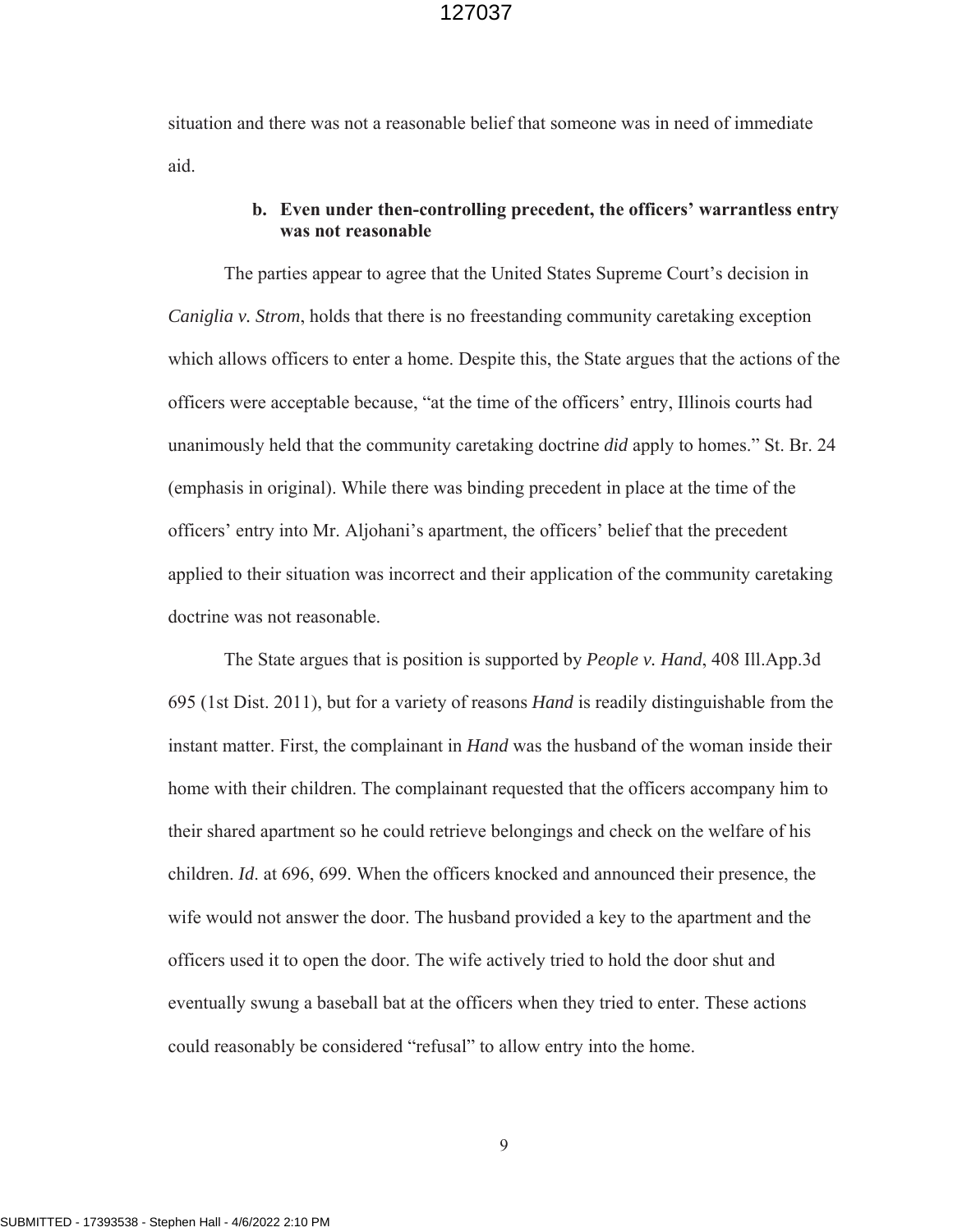situation and there was not a reasonable belief that someone was in need of immediate aid.

#### **b. Even under then-controlling precedent, the officers' warrantless entry was not reasonable**

The parties appear to agree that the United States Supreme Court's decision in *Caniglia v. Strom*, holds that there is no freestanding community caretaking exception which allows officers to enter a home. Despite this, the State argues that the actions of the officers were acceptable because, "at the time of the officers' entry, Illinois courts had unanimously held that the community caretaking doctrine *did* apply to homes." St. Br. 24 (emphasis in original). While there was binding precedent in place at the time of the officers' entry into Mr. Aljohani's apartment, the officers' belief that the precedent applied to their situation was incorrect and their application of the community caretaking doctrine was not reasonable.

The State argues that is position is supported by *People v. Hand*, 408 Ill.App.3d 695 (1st Dist. 2011), but for a variety of reasons *Hand* is readily distinguishable from the instant matter. First, the complainant in *Hand* was the husband of the woman inside their home with their children. The complainant requested that the officers accompany him to their shared apartment so he could retrieve belongings and check on the welfare of his children. *Id*. at 696, 699. When the officers knocked and announced their presence, the wife would not answer the door. The husband provided a key to the apartment and the officers used it to open the door. The wife actively tried to hold the door shut and eventually swung a baseball bat at the officers when they tried to enter. These actions could reasonably be considered "refusal" to allow entry into the home.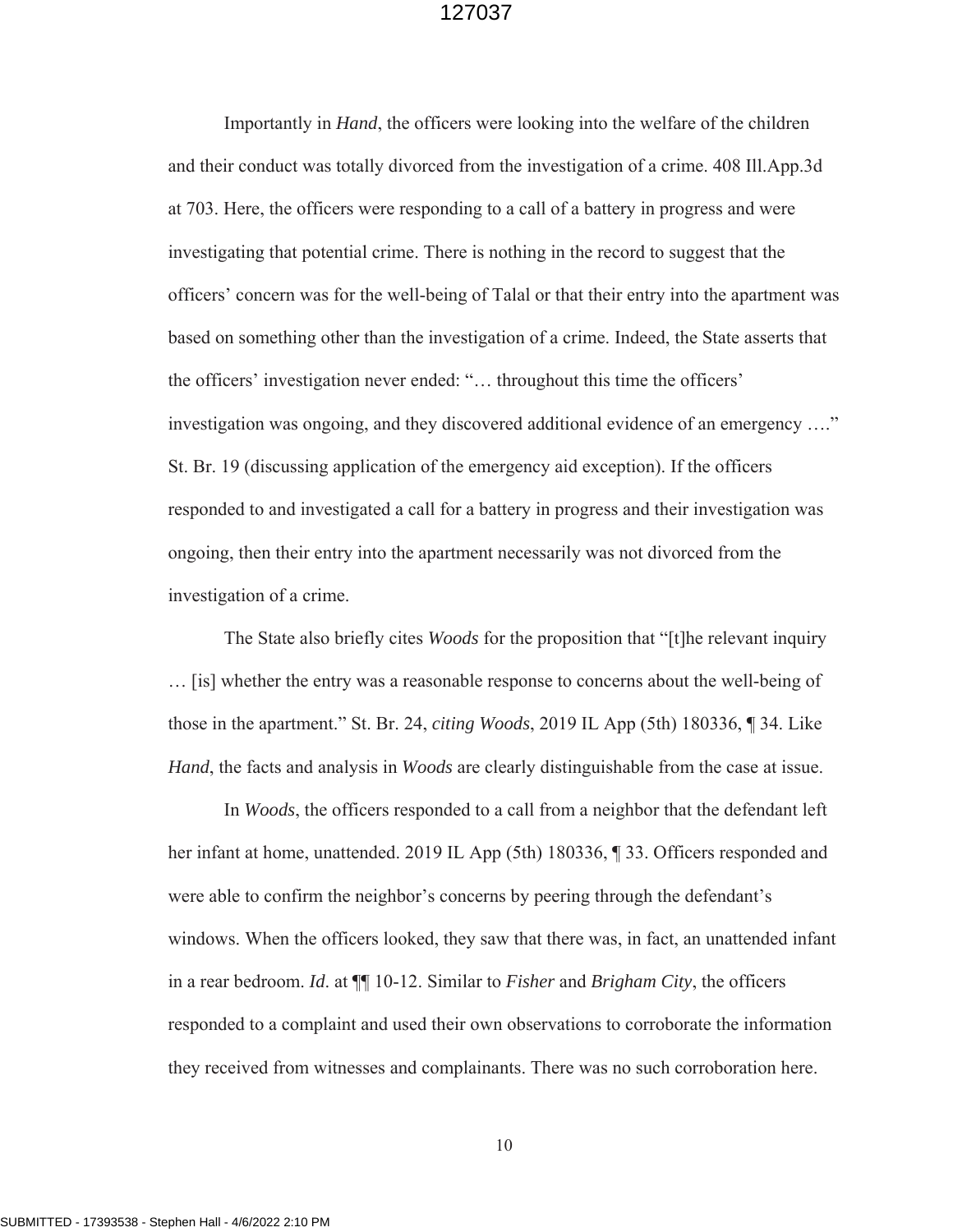Importantly in *Hand*, the officers were looking into the welfare of the children and their conduct was totally divorced from the investigation of a crime. 408 Ill.App.3d at 703. Here, the officers were responding to a call of a battery in progress and were investigating that potential crime. There is nothing in the record to suggest that the officers' concern was for the well-being of Talal or that their entry into the apartment was based on something other than the investigation of a crime. Indeed, the State asserts that the officers' investigation never ended: "… throughout this time the officers' investigation was ongoing, and they discovered additional evidence of an emergency …." St. Br. 19 (discussing application of the emergency aid exception). If the officers responded to and investigated a call for a battery in progress and their investigation was ongoing, then their entry into the apartment necessarily was not divorced from the investigation of a crime.

The State also briefly cites *Woods* for the proposition that "[t]he relevant inquiry … [is] whether the entry was a reasonable response to concerns about the well-being of those in the apartment." St. Br. 24, *citing Woods*, 2019 IL App (5th) 180336, ¶ 34. Like *Hand*, the facts and analysis in *Woods* are clearly distinguishable from the case at issue.

In *Woods*, the officers responded to a call from a neighbor that the defendant left her infant at home, unattended. 2019 IL App (5th) 180336, ¶ 33. Officers responded and were able to confirm the neighbor's concerns by peering through the defendant's windows. When the officers looked, they saw that there was, in fact, an unattended infant in a rear bedroom. *Id*. at ¶¶ 10-12. Similar to *Fisher* and *Brigham City*, the officers responded to a complaint and used their own observations to corroborate the information they received from witnesses and complainants. There was no such corroboration here.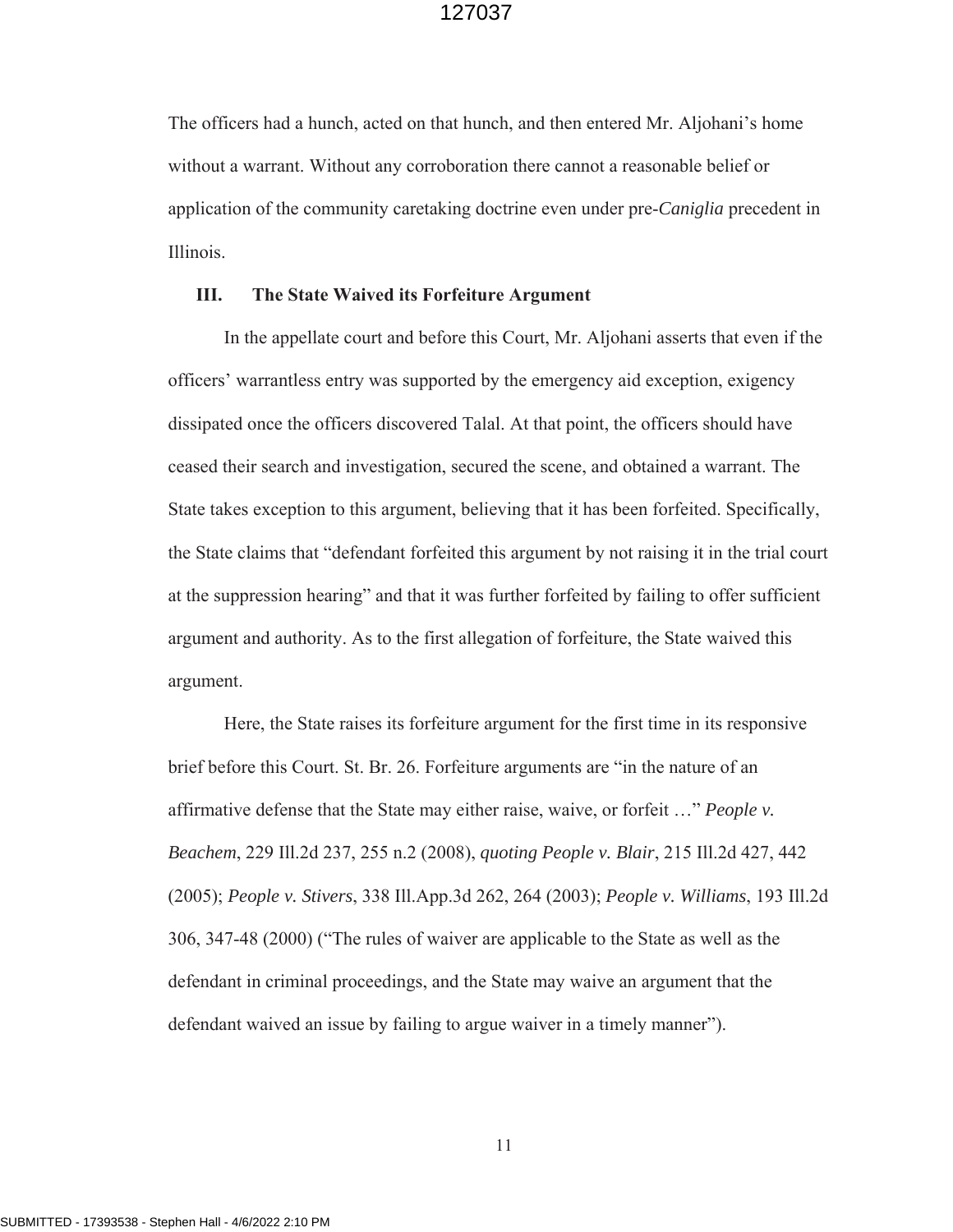The officers had a hunch, acted on that hunch, and then entered Mr. Aljohani's home without a warrant. Without any corroboration there cannot a reasonable belief or application of the community caretaking doctrine even under pre-*Caniglia* precedent in Illinois.

#### **III. The State Waived its Forfeiture Argument**

In the appellate court and before this Court, Mr. Aljohani asserts that even if the officers' warrantless entry was supported by the emergency aid exception, exigency dissipated once the officers discovered Talal. At that point, the officers should have ceased their search and investigation, secured the scene, and obtained a warrant. The State takes exception to this argument, believing that it has been forfeited. Specifically, the State claims that "defendant forfeited this argument by not raising it in the trial court at the suppression hearing" and that it was further forfeited by failing to offer sufficient argument and authority. As to the first allegation of forfeiture, the State waived this argument.

Here, the State raises its forfeiture argument for the first time in its responsive brief before this Court. St. Br. 26. Forfeiture arguments are "in the nature of an affirmative defense that the State may either raise, waive, or forfeit …" *People v. Beachem*, 229 Ill.2d 237, 255 n.2 (2008), *quoting People v. Blair*, 215 Ill.2d 427, 442 (2005); *People v. Stivers*, 338 Ill.App.3d 262, 264 (2003); *People v. Williams*, 193 Ill.2d 306, 347-48 (2000) ("The rules of waiver are applicable to the State as well as the defendant in criminal proceedings, and the State may waive an argument that the defendant waived an issue by failing to argue waiver in a timely manner").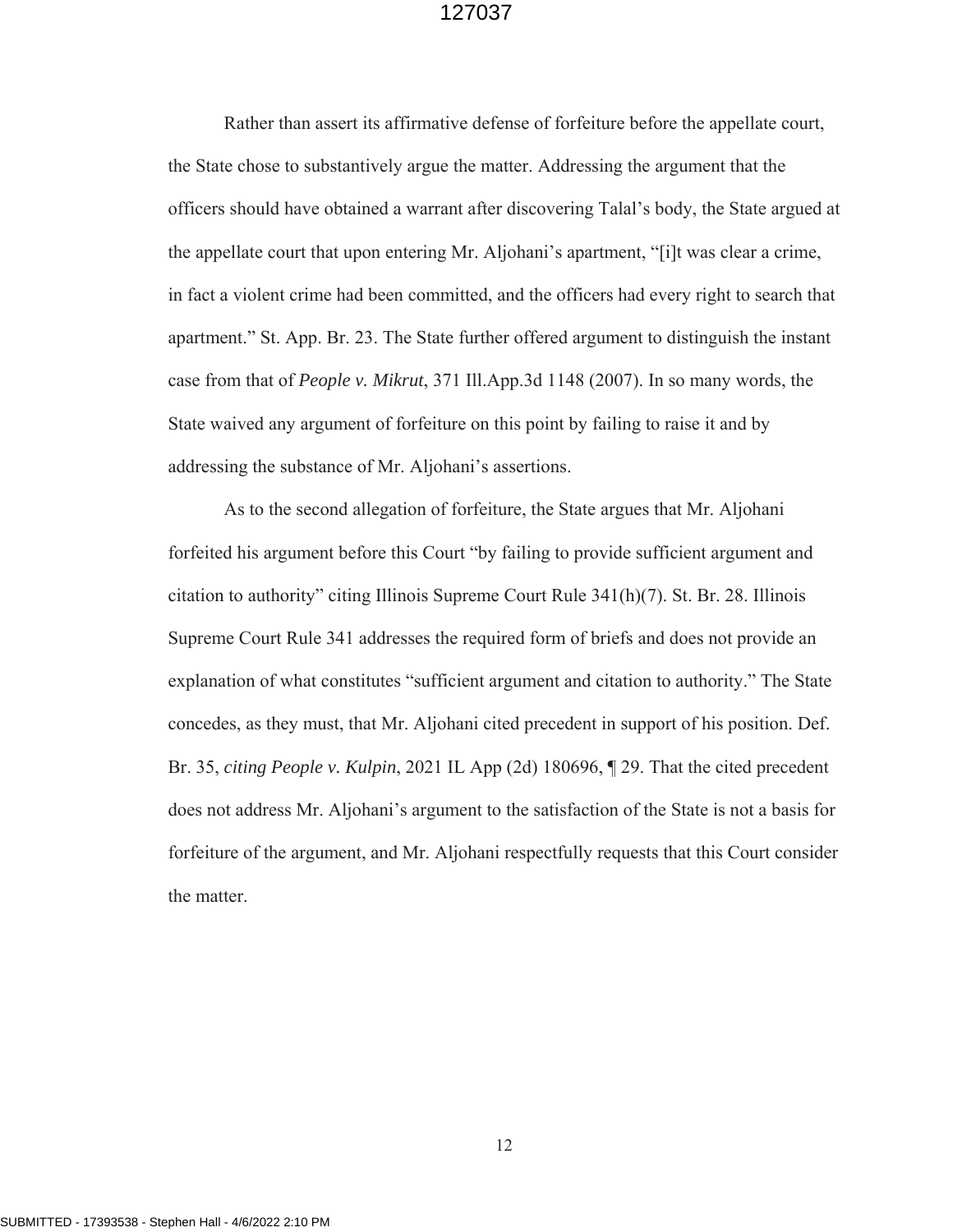Rather than assert its affirmative defense of forfeiture before the appellate court, the State chose to substantively argue the matter. Addressing the argument that the officers should have obtained a warrant after discovering Talal's body, the State argued at the appellate court that upon entering Mr. Aljohani's apartment, "[i]t was clear a crime, in fact a violent crime had been committed, and the officers had every right to search that apartment." St. App. Br. 23. The State further offered argument to distinguish the instant case from that of *People v. Mikrut*, 371 Ill.App.3d 1148 (2007). In so many words, the State waived any argument of forfeiture on this point by failing to raise it and by addressing the substance of Mr. Aljohani's assertions.

As to the second allegation of forfeiture, the State argues that Mr. Aljohani forfeited his argument before this Court "by failing to provide sufficient argument and citation to authority" citing Illinois Supreme Court Rule 341(h)(7). St. Br. 28. Illinois Supreme Court Rule 341 addresses the required form of briefs and does not provide an explanation of what constitutes "sufficient argument and citation to authority." The State concedes, as they must, that Mr. Aljohani cited precedent in support of his position. Def. Br. 35, *citing People v. Kulpin*, 2021 IL App (2d) 180696, ¶ 29. That the cited precedent does not address Mr. Aljohani's argument to the satisfaction of the State is not a basis for forfeiture of the argument, and Mr. Aljohani respectfully requests that this Court consider the matter.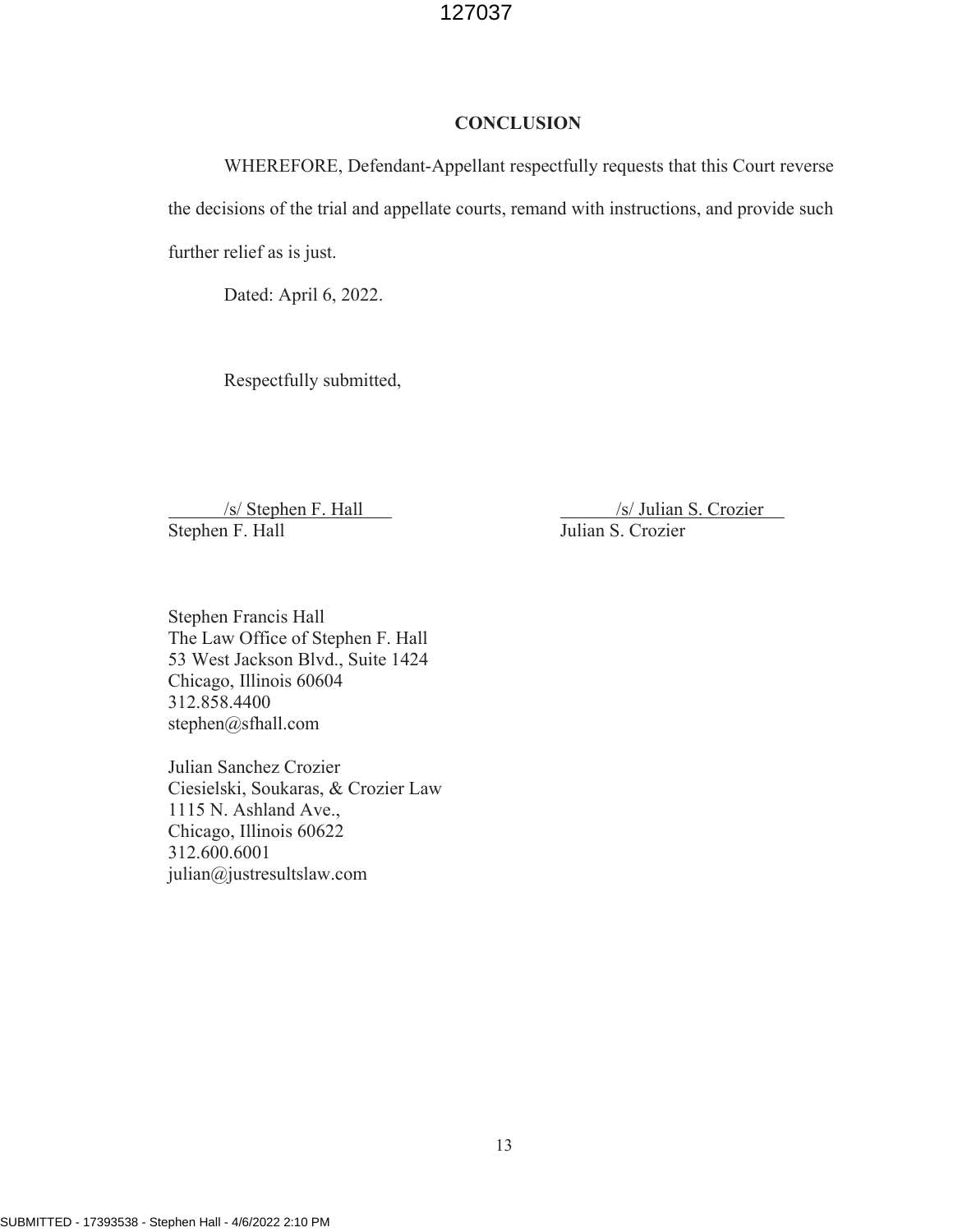#### **CONCLUSION**

WHEREFORE, Defendant-Appellant respectfully requests that this Court reverse the decisions of the trial and appellate courts, remand with instructions, and provide such further relief as is just.

Dated: April 6, 2022.

Respectfully submitted,

Stephen F. Hall

 $\frac{\sqrt{s}}{\text{Stephen F. Hall}}$  /s/ Julian S. Crozier n F. Hall /s/ Julian S. Crozier Julian S. Crozier

Stephen Francis Hall The Law Office of Stephen F. Hall 53 West Jackson Blvd., Suite 1424 Chicago, Illinois 60604 312.858.4400 stephen@sfhall.com

Julian Sanchez Crozier Ciesielski, Soukaras, & Crozier Law 1115 N. Ashland Ave., Chicago, Illinois 60622 312.600.6001 julian@justresultslaw.com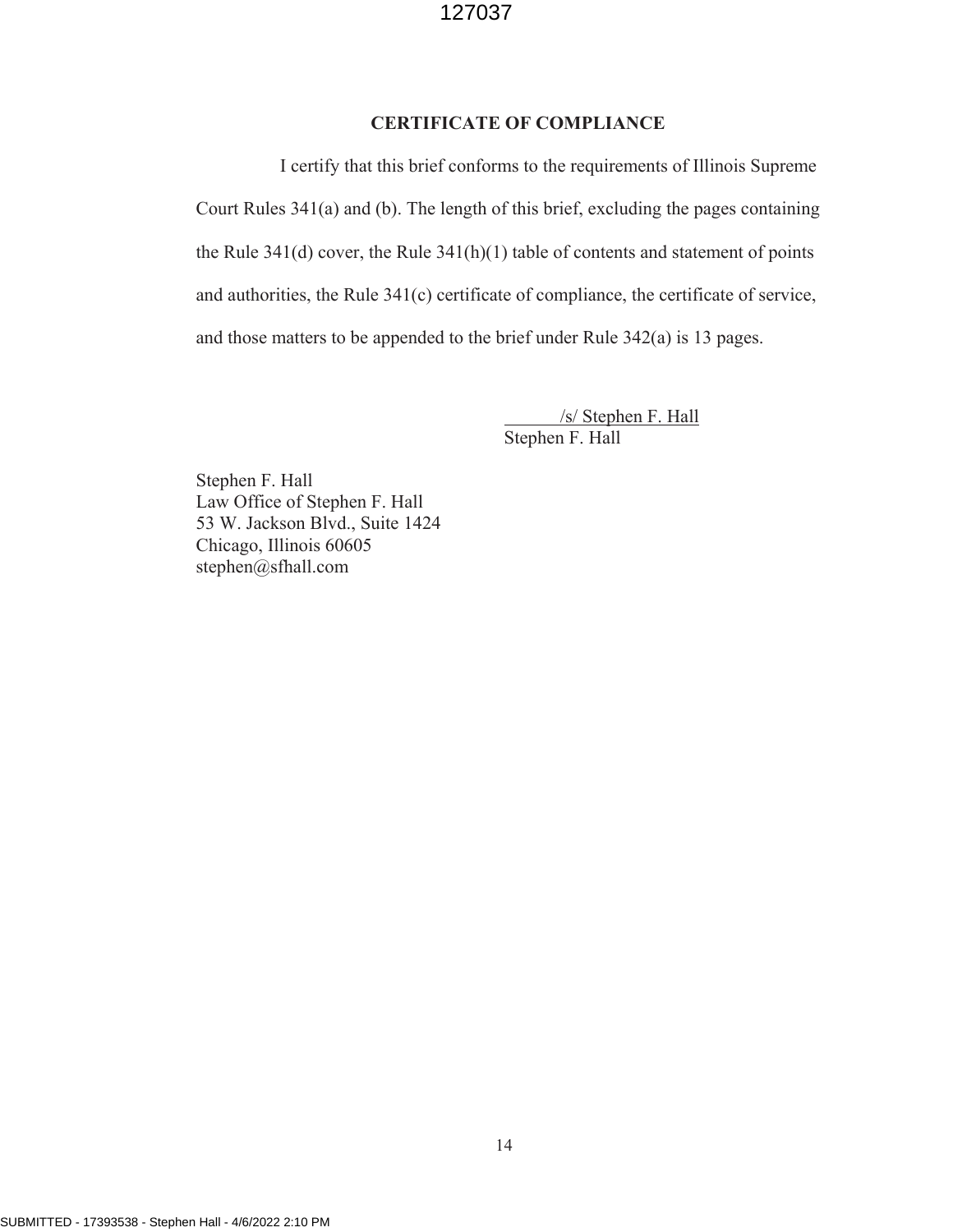#### **CERTIFICATE OF COMPLIANCE**

I certify that this brief conforms to the requirements of Illinois Supreme Court Rules 341(a) and (b). The length of this brief, excluding the pages containing the Rule 341(d) cover, the Rule 341(h)(1) table of contents and statement of points and authorities, the Rule 341(c) certificate of compliance, the certificate of service, and those matters to be appended to the brief under Rule 342(a) is 13 pages.

> /s/ Stephen F. Hall Stephen F. Hall

Stephen F. Hall Law Office of Stephen F. Hall 53 W. Jackson Blvd., Suite 1424 Chicago, Illinois 60605 stephen@sfhall.com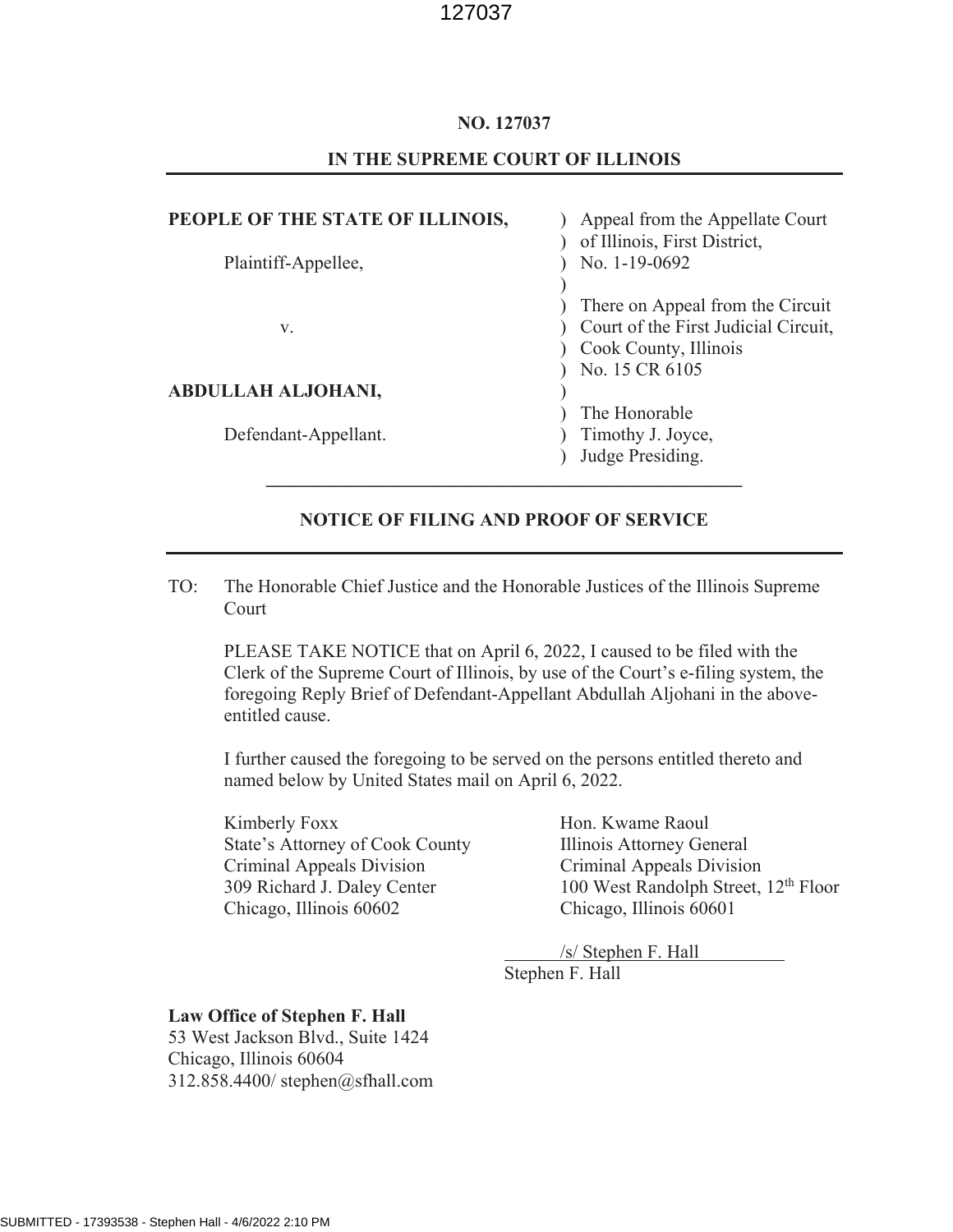#### **NO. 127037**

#### **IN THE SUPREME COURT OF ILLINOIS**

## **PEOPLE OF THE STATE OF ILLINOIS, Example 1** Appeal from the Appellate Court ) of Illinois, First District, Plaintiff-Appellee,  $\overline{) \quad}$  No. 1-19-0692 ) ) There on Appeal from the Circuit v.  $\qquad \qquad$  ) Court of the First Judicial Circuit, ) Cook County, Illinois ) No. 15 CR 6105 **ABDULLAH ALJOHANI,** ) ) The Honorable Defendant-Appellant. ) Timothy J. Joyce, ) Judge Presiding. **\_\_\_\_\_\_\_\_\_\_\_\_\_\_\_\_\_\_\_\_\_\_\_\_\_\_\_\_\_\_\_\_\_\_\_\_\_\_\_\_\_\_\_\_\_\_\_\_\_\_\_**

#### **NOTICE OF FILING AND PROOF OF SERVICE**

TO: The Honorable Chief Justice and the Honorable Justices of the Illinois Supreme Court

PLEASE TAKE NOTICE that on April 6, 2022, I caused to be filed with the Clerk of the Supreme Court of Illinois, by use of the Court's e-filing system, the foregoing Reply Brief of Defendant-Appellant Abdullah Aljohani in the aboveentitled cause.

I further caused the foregoing to be served on the persons entitled thereto and named below by United States mail on April 6, 2022.

Kimberly Foxx Hon. Kwame Raoul State's Attorney of Cook County Illinois Attorney General Criminal Appeals Division Criminal Appeals Division Chicago, Illinois 60602 Chicago, Illinois 60601

309 Richard J. Daley Center 100 West Randolph Street, 12<sup>th</sup> Floor

/s/ Stephen F. Hall Stephen F. Hall

#### **Law Office of Stephen F. Hall**

53 West Jackson Blvd., Suite 1424 Chicago, Illinois 60604 312.858.4400/ stephen@sfhall.com